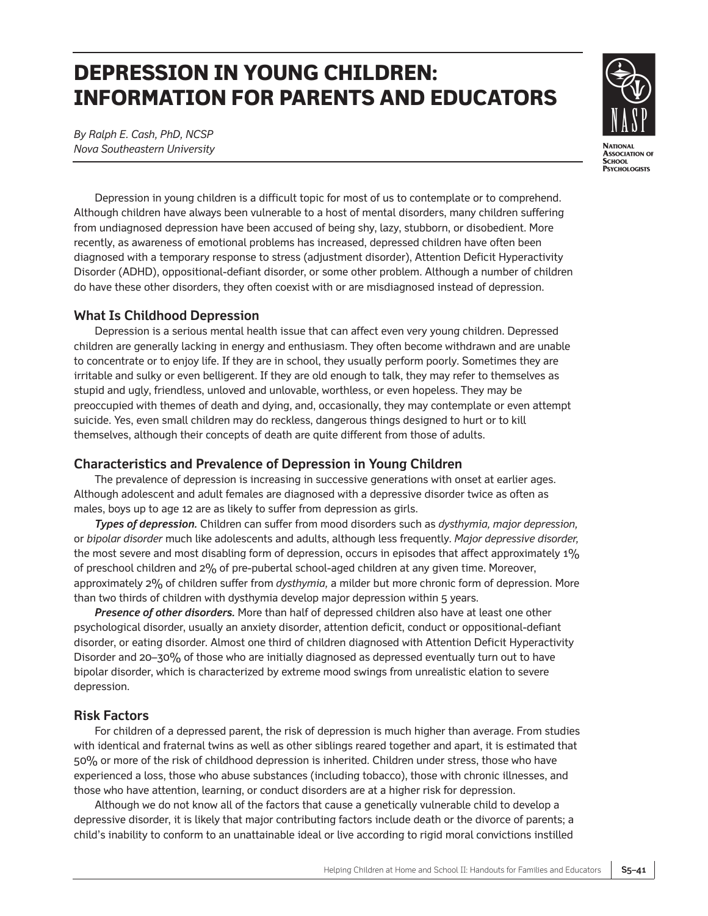# **DEPRESSION IN YOUNG CHILDREN: INFORMATION FOR PARENTS AND EDUCATORS**

*By Ralph E. Cash, PhD, NCSP Nova Southeastern University*



Depression in young children is a difficult topic for most of us to contemplate or to comprehend. Although children have always been vulnerable to a host of mental disorders, many children suffering from undiagnosed depression have been accused of being shy, lazy, stubborn, or disobedient. More recently, as awareness of emotional problems has increased, depressed children have often been diagnosed with a temporary response to stress (adjustment disorder), Attention Deficit Hyperactivity Disorder (ADHD), oppositional-defiant disorder, or some other problem. Although a number of children do have these other disorders, they often coexist with or are misdiagnosed instead of depression.

## **What Is Childhood Depression**

Depression is a serious mental health issue that can affect even very young children. Depressed children are generally lacking in energy and enthusiasm. They often become withdrawn and are unable to concentrate or to enjoy life. If they are in school, they usually perform poorly. Sometimes they are irritable and sulky or even belligerent. If they are old enough to talk, they may refer to themselves as stupid and ugly, friendless, unloved and unlovable, worthless, or even hopeless. They may be preoccupied with themes of death and dying, and, occasionally, they may contemplate or even attempt suicide. Yes, even small children may do reckless, dangerous things designed to hurt or to kill themselves, although their concepts of death are quite different from those of adults.

## **Characteristics and Prevalence of Depression in Young Children**

The prevalence of depression is increasing in successive generations with onset at earlier ages. Although adolescent and adult females are diagnosed with a depressive disorder twice as often as males, boys up to age 12 are as likely to suffer from depression as girls.

*Types of depression.* Children can suffer from mood disorders such as *dysthymia, major depression,* or *bipolar disorder* much like adolescents and adults, although less frequently. *Major depressive disorder,* the most severe and most disabling form of depression, occurs in episodes that affect approximately 1% of preschool children and 2% of pre-pubertal school-aged children at any given time. Moreover, approximately 2% of children suffer from *dysthymia,* a milder but more chronic form of depression. More than two thirds of children with dysthymia develop major depression within 5 years.

*Presence of other disorders.* More than half of depressed children also have at least one other psychological disorder, usually an anxiety disorder, attention deficit, conduct or oppositional-defiant disorder, or eating disorder. Almost one third of children diagnosed with Attention Deficit Hyperactivity Disorder and 20–30% of those who are initially diagnosed as depressed eventually turn out to have bipolar disorder, which is characterized by extreme mood swings from unrealistic elation to severe depression.

## **Risk Factors**

For children of a depressed parent, the risk of depression is much higher than average. From studies with identical and fraternal twins as well as other siblings reared together and apart, it is estimated that 50% or more of the risk of childhood depression is inherited. Children under stress, those who have experienced a loss, those who abuse substances (including tobacco), those with chronic illnesses, and those who have attention, learning, or conduct disorders are at a higher risk for depression.

Although we do not know all of the factors that cause a genetically vulnerable child to develop a depressive disorder, it is likely that major contributing factors include death or the divorce of parents; a child's inability to conform to an unattainable ideal or live according to rigid moral convictions instilled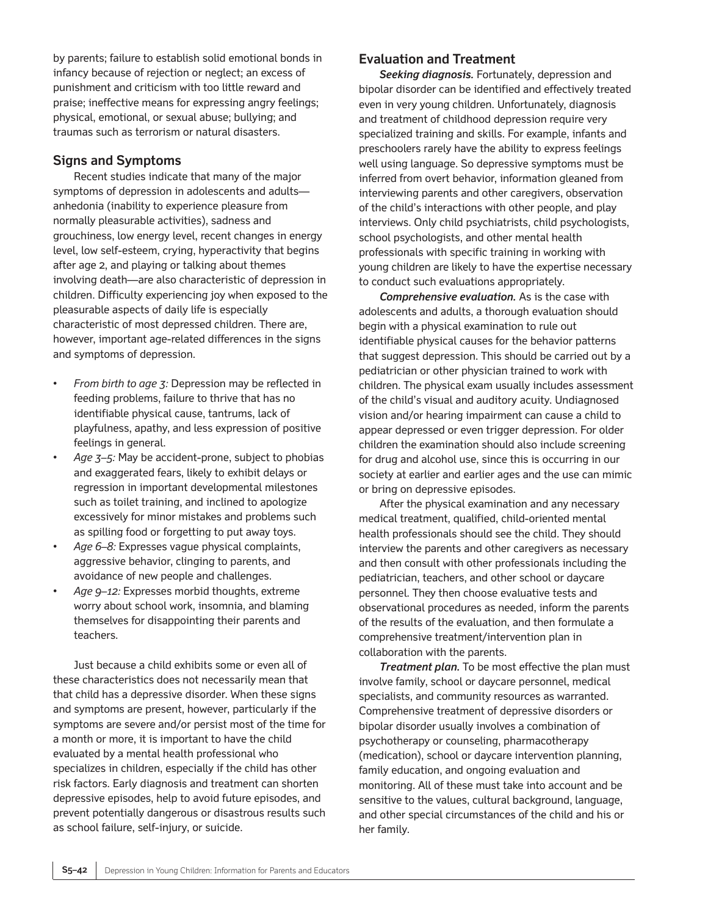by parents; failure to establish solid emotional bonds in infancy because of rejection or neglect; an excess of punishment and criticism with too little reward and praise; ineffective means for expressing angry feelings; physical, emotional, or sexual abuse; bullying; and traumas such as terrorism or natural disasters.

#### **Signs and Symptoms**

Recent studies indicate that many of the major symptoms of depression in adolescents and adults anhedonia (inability to experience pleasure from normally pleasurable activities), sadness and grouchiness, low energy level, recent changes in energy level, low self-esteem, crying, hyperactivity that begins after age 2, and playing or talking about themes involving death—are also characteristic of depression in children. Difficulty experiencing joy when exposed to the pleasurable aspects of daily life is especially characteristic of most depressed children. There are, however, important age-related differences in the signs and symptoms of depression.

- *From birth to age 3:* Depression may be reflected in feeding problems, failure to thrive that has no identifiable physical cause, tantrums, lack of playfulness, apathy, and less expression of positive feelings in general.
- *Age 3–5:* May be accident-prone, subject to phobias and exaggerated fears, likely to exhibit delays or regression in important developmental milestones such as toilet training, and inclined to apologize excessively for minor mistakes and problems such as spilling food or forgetting to put away toys.
- *Age 6–8:* Expresses vague physical complaints, aggressive behavior, clinging to parents, and avoidance of new people and challenges.
- *Age 9–12:* Expresses morbid thoughts, extreme worry about school work, insomnia, and blaming themselves for disappointing their parents and teachers.

Just because a child exhibits some or even all of these characteristics does not necessarily mean that that child has a depressive disorder. When these signs and symptoms are present, however, particularly if the symptoms are severe and/or persist most of the time for a month or more, it is important to have the child evaluated by a mental health professional who specializes in children, especially if the child has other risk factors. Early diagnosis and treatment can shorten depressive episodes, help to avoid future episodes, and prevent potentially dangerous or disastrous results such as school failure, self-injury, or suicide.

#### **Evaluation and Treatment**

*Seeking diagnosis.* Fortunately, depression and bipolar disorder can be identified and effectively treated even in very young children. Unfortunately, diagnosis and treatment of childhood depression require very specialized training and skills. For example, infants and preschoolers rarely have the ability to express feelings well using language. So depressive symptoms must be inferred from overt behavior, information gleaned from interviewing parents and other caregivers, observation of the child's interactions with other people, and play interviews. Only child psychiatrists, child psychologists, school psychologists, and other mental health professionals with specific training in working with young children are likely to have the expertise necessary to conduct such evaluations appropriately.

*Comprehensive evaluation.* As is the case with adolescents and adults, a thorough evaluation should begin with a physical examination to rule out identifiable physical causes for the behavior patterns that suggest depression. This should be carried out by a pediatrician or other physician trained to work with children. The physical exam usually includes assessment of the child's visual and auditory acuity. Undiagnosed vision and/or hearing impairment can cause a child to appear depressed or even trigger depression. For older children the examination should also include screening for drug and alcohol use, since this is occurring in our society at earlier and earlier ages and the use can mimic or bring on depressive episodes.

After the physical examination and any necessary medical treatment, qualified, child-oriented mental health professionals should see the child. They should interview the parents and other caregivers as necessary and then consult with other professionals including the pediatrician, teachers, and other school or daycare personnel. They then choose evaluative tests and observational procedures as needed, inform the parents of the results of the evaluation, and then formulate a comprehensive treatment/intervention plan in collaboration with the parents.

*Treatment plan.* To be most effective the plan must involve family, school or daycare personnel, medical specialists, and community resources as warranted. Comprehensive treatment of depressive disorders or bipolar disorder usually involves a combination of psychotherapy or counseling, pharmacotherapy (medication), school or daycare intervention planning, family education, and ongoing evaluation and monitoring. All of these must take into account and be sensitive to the values, cultural background, language, and other special circumstances of the child and his or her family.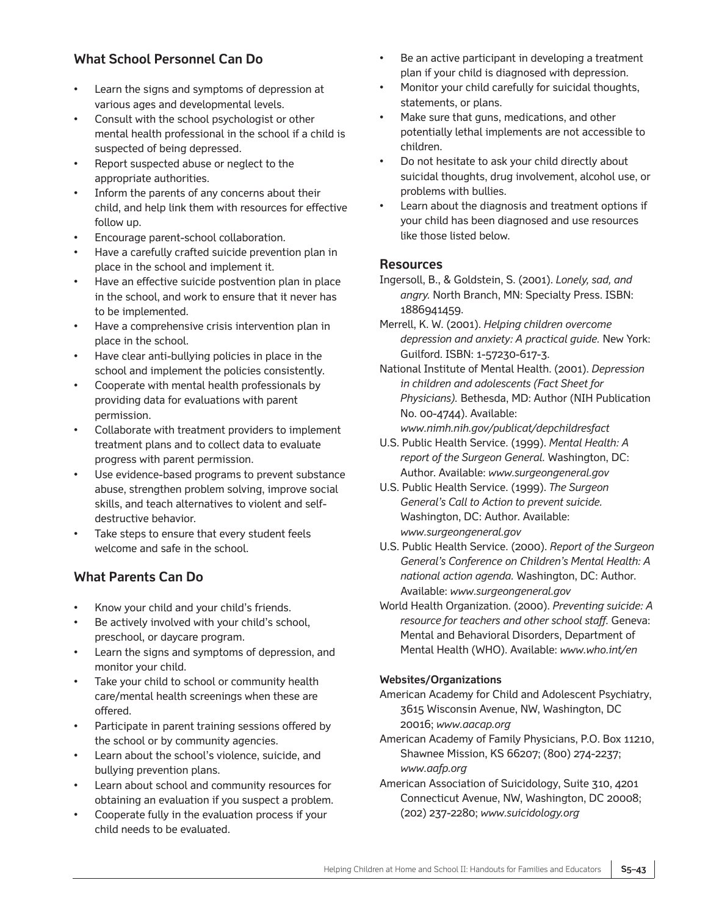# **What School Personnel Can Do**

- Learn the signs and symptoms of depression at various ages and developmental levels.
- Consult with the school psychologist or other mental health professional in the school if a child is suspected of being depressed.
- Report suspected abuse or neglect to the appropriate authorities.
- Inform the parents of any concerns about their child, and help link them with resources for effective follow up.
- Encourage parent-school collaboration.
- Have a carefully crafted suicide prevention plan in place in the school and implement it.
- Have an effective suicide postvention plan in place in the school, and work to ensure that it never has to be implemented.
- Have a comprehensive crisis intervention plan in place in the school.
- Have clear anti-bullying policies in place in the school and implement the policies consistently.
- Cooperate with mental health professionals by providing data for evaluations with parent permission.
- Collaborate with treatment providers to implement treatment plans and to collect data to evaluate progress with parent permission.
- Use evidence-based programs to prevent substance abuse, strengthen problem solving, improve social skills, and teach alternatives to violent and selfdestructive behavior.
- Take steps to ensure that every student feels welcome and safe in the school.

# **What Parents Can Do**

- Know your child and your child's friends.
- Be actively involved with your child's school, preschool, or daycare program.
- Learn the signs and symptoms of depression, and monitor your child.
- Take your child to school or community health care/mental health screenings when these are offered.
- Participate in parent training sessions offered by the school or by community agencies.
- Learn about the school's violence, suicide, and bullying prevention plans.
- Learn about school and community resources for obtaining an evaluation if you suspect a problem.
- Cooperate fully in the evaluation process if your child needs to be evaluated.
- Be an active participant in developing a treatment plan if your child is diagnosed with depression.
- Monitor your child carefully for suicidal thoughts, statements, or plans.
- Make sure that guns, medications, and other potentially lethal implements are not accessible to children.
- Do not hesitate to ask your child directly about suicidal thoughts, drug involvement, alcohol use, or problems with bullies.
- Learn about the diagnosis and treatment options if your child has been diagnosed and use resources like those listed below.

## **Resources**

- Ingersoll, B., & Goldstein, S. (2001). *Lonely, sad, and angry.* North Branch, MN: Specialty Press. ISBN: 1886941459.
- Merrell, K. W. (2001). *Helping children overcome depression and anxiety: A practical guide.* New York: Guilford. ISBN: 1-57230-617-3.
- National Institute of Mental Health. (2001). *Depression in children and adolescents (Fact Sheet for Physicians).* Bethesda, MD: Author (NIH Publication No. 00-4744). Available: *www.nimh.nih.gov/publicat/depchildresfact*
- U.S. Public Health Service. (1999). *Mental Health: A report of the Surgeon General.* Washington, DC:
- Author. Available: *www.surgeongeneral.gov* U.S. Public Health Service. (1999). *The Surgeon General's Call to Action to prevent suicide.* Washington, DC: Author. Available: *www.surgeongeneral.gov*
- U.S. Public Health Service. (2000). *Report of the Surgeon General's Conference on Children's Mental Health: A national action agenda.* Washington, DC: Author. Available: *www.surgeongeneral.gov*
- World Health Organization. (2000). *Preventing suicide: A resource for teachers and other school staff.* Geneva: Mental and Behavioral Disorders, Department of Mental Health (WHO). Available: *www.who.int/en*

#### **Websites/Organizations**

American Academy for Child and Adolescent Psychiatry, 3615 Wisconsin Avenue, NW, Washington, DC 20016; *www.aacap.org*

- American Academy of Family Physicians, P.O. Box 11210, Shawnee Mission, KS 66207; (800) 274-2237; *www.aafp.org*
- American Association of Suicidology, Suite 310, 4201 Connecticut Avenue, NW, Washington, DC 20008; (202) 237-2280; *www.suicidology.org*